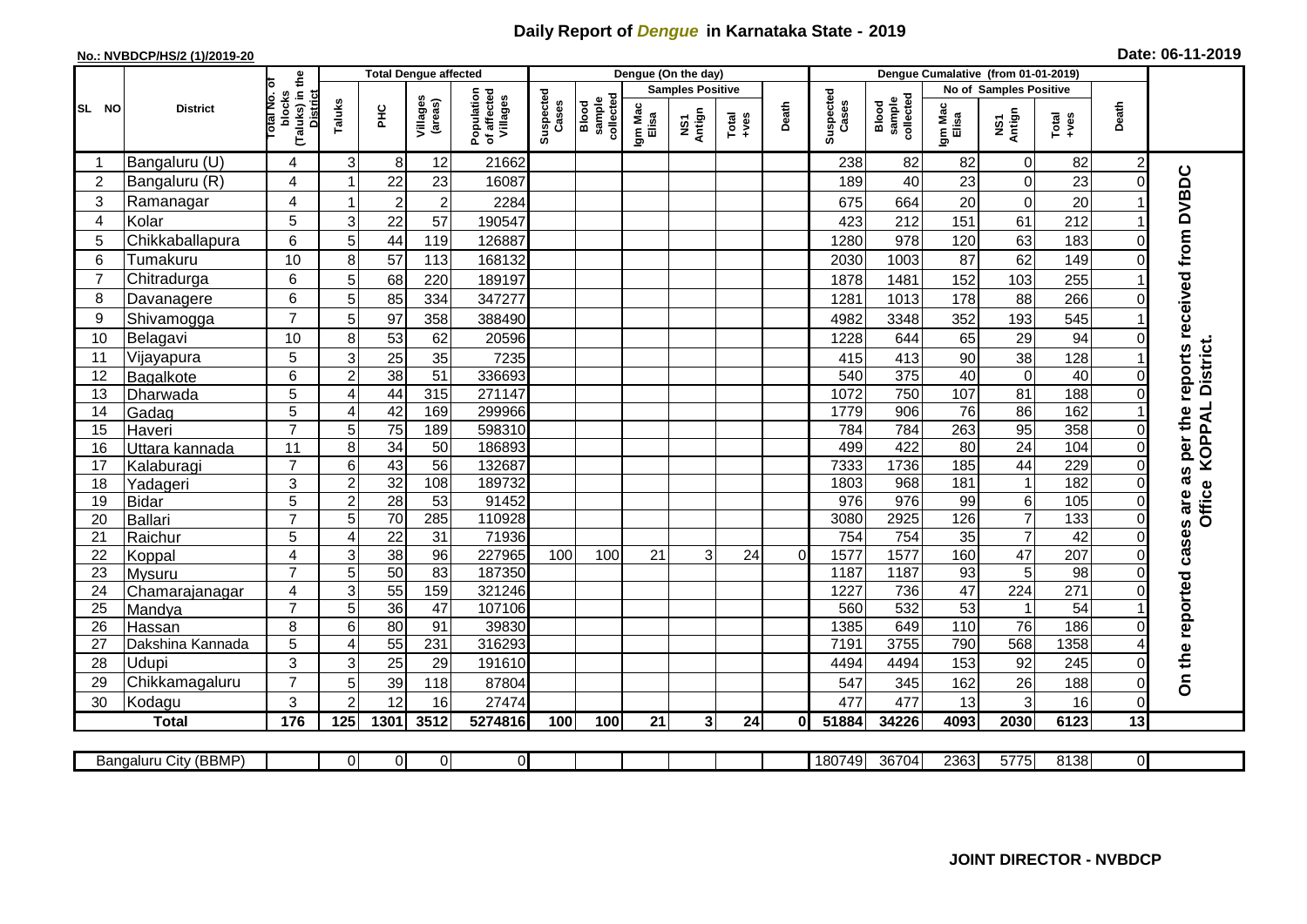## **Daily Report of** *Dengue* **in Karnataka State - 2019**

## **No.: NVBDCP/HS/2 (1)/2019-20 Date: 06-11-2019**

|                |                           |                                                             |                | <b>Total Dengue affected</b> |                     |                                       |                    |                              |                  | Dengue (On the day)     |                                                                                                                                                                                                                                                                                                                                                                                                             |                |                    |                              |                  |                        |                 |                |                                        |
|----------------|---------------------------|-------------------------------------------------------------|----------------|------------------------------|---------------------|---------------------------------------|--------------------|------------------------------|------------------|-------------------------|-------------------------------------------------------------------------------------------------------------------------------------------------------------------------------------------------------------------------------------------------------------------------------------------------------------------------------------------------------------------------------------------------------------|----------------|--------------------|------------------------------|------------------|------------------------|-----------------|----------------|----------------------------------------|
|                |                           |                                                             |                |                              |                     |                                       |                    |                              |                  | <b>Samples Positive</b> |                                                                                                                                                                                                                                                                                                                                                                                                             |                |                    |                              |                  | No of Samples Positive |                 |                |                                        |
| SL NO          | <b>District</b>           | (Taluks) in the<br>otal No. of<br>blocks<br><b>District</b> | Taluks         | ŦЕ                           | Villages<br>(areas) | Population<br>of affected<br>Villages | Suspected<br>Cases | sample<br>collected<br>Blood | Igm Mac<br>Elisa | NS1<br>Antign           | $\begin{array}{c}\n\text{Total} \\ \text{1-4} \\ \text{1-4} \\ \text{1-4} \\ \text{1-4} \\ \text{1-4} \\ \text{1-4} \\ \text{1-4} \\ \text{1-4} \\ \text{1-4} \\ \text{1-4} \\ \text{1-4} \\ \text{1-4} \\ \text{1-4} \\ \text{1-4} \\ \text{1-4} \\ \text{1-4} \\ \text{1-4} \\ \text{1-4} \\ \text{1-4} \\ \text{1-4} \\ \text{1-4} \\ \text{1-4} \\ \text{1-4} \\ \text{1-4} \\ \text{1-4} \\ \text{1-4$ | Death          | Suspected<br>Cases | collected<br>sample<br>Blood | Igm Mac<br>Elisa | NS1<br>Antign          | Total<br>+ves   | Death          |                                        |
| -1             | Bangaluru (U)             | 4                                                           | 3              | 8 <sup>1</sup>               | 12                  | 21662                                 |                    |                              |                  |                         |                                                                                                                                                                                                                                                                                                                                                                                                             |                | 238                | 82                           | 82               | $\mathbf 0$            | 82              | $\overline{c}$ |                                        |
| 2              | Bangaluru (R)             | 4                                                           |                | 22                           | 23                  | 16087                                 |                    |                              |                  |                         |                                                                                                                                                                                                                                                                                                                                                                                                             |                | 189                | 40                           | 23               | $\mathsf 0$            | 23              | $\Omega$       |                                        |
| 3              | Ramanagar                 | 4                                                           | 1              | $\overline{2}$               | $\overline{2}$      | 2284                                  |                    |                              |                  |                         |                                                                                                                                                                                                                                                                                                                                                                                                             |                | 675                | 664                          | 20               | $\pmb{0}$              | 20              |                | as per the reports received from DVBDC |
| 4              | Kolar                     | 5                                                           | 3              | 22                           | 57                  | 190547                                |                    |                              |                  |                         |                                                                                                                                                                                                                                                                                                                                                                                                             |                | 423                | 212                          | 151              | 61                     | 212             |                |                                        |
| 5              | Chikkaballapura           | 6                                                           | 5              | 44                           | 119                 | 126887                                |                    |                              |                  |                         |                                                                                                                                                                                                                                                                                                                                                                                                             |                | 1280               | 978                          | 120              | 63                     | 183             | 0              |                                        |
| 6              | Tumakuru                  | 10                                                          | 8              | 57                           | 113                 | 168132                                |                    |                              |                  |                         |                                                                                                                                                                                                                                                                                                                                                                                                             |                | 2030               | 1003                         | 87               | 62                     | 149             | 0              |                                        |
| $\overline{7}$ | Chitradurga               | 6                                                           | 5              | 68                           | 220                 | 189197                                |                    |                              |                  |                         |                                                                                                                                                                                                                                                                                                                                                                                                             |                | 1878               | 1481                         | 152              | 103                    | 255             |                |                                        |
| 8              | Davanagere                | 6                                                           | 5              | 85                           | 334                 | 347277                                |                    |                              |                  |                         |                                                                                                                                                                                                                                                                                                                                                                                                             |                | 1281               | 1013                         | 178              | 88                     | 266             |                |                                        |
| 9              | Shivamogga                | $\overline{7}$                                              | 5              | 97                           | 358                 | 388490                                |                    |                              |                  |                         |                                                                                                                                                                                                                                                                                                                                                                                                             |                | 4982               | 3348                         | 352              | 193                    | 545             |                |                                        |
| 10             | Belagavi                  | 10                                                          | 8              | 53                           | 62                  | 20596                                 |                    |                              |                  |                         |                                                                                                                                                                                                                                                                                                                                                                                                             |                | 1228               | 644                          | 65               | 29                     | 94              |                |                                        |
| 11             | Vijayapura                | 5                                                           | 3              | 25                           | 35                  | 7235                                  |                    |                              |                  |                         |                                                                                                                                                                                                                                                                                                                                                                                                             |                | 415                | 413                          | 90               | 38                     | 128             |                | District.                              |
| 12             | Bagalkote                 | 6                                                           | $\overline{2}$ | 38                           | 51                  | 336693                                |                    |                              |                  |                         |                                                                                                                                                                                                                                                                                                                                                                                                             |                | 540                | 375                          | 40               | $\overline{0}$         | 40              |                |                                        |
| 13             | Dharwada                  | 5                                                           | 4              | 44                           | 315                 | 271147                                |                    |                              |                  |                         |                                                                                                                                                                                                                                                                                                                                                                                                             |                | 1072               | 750                          | 107              | 81                     | 188             | $\Omega$       |                                        |
| 14             | Gadag                     | $\overline{5}$                                              | 4              | 42                           | 169                 | 299966                                |                    |                              |                  |                         |                                                                                                                                                                                                                                                                                                                                                                                                             |                | 1779               | 906                          | 76               | 86                     | 162             |                |                                        |
| 15             | Haveri                    | $\overline{7}$                                              | 5 <sup>5</sup> | 75                           | 189                 | 598310                                |                    |                              |                  |                         |                                                                                                                                                                                                                                                                                                                                                                                                             |                | 784                | 784                          | 263              | 95                     | 358             | 0              |                                        |
| 16             | Uttara kannada            | 11                                                          | 8              | $\overline{34}$              | $\overline{50}$     | 186893                                |                    |                              |                  |                         |                                                                                                                                                                                                                                                                                                                                                                                                             |                | 499                | 422                          | $\overline{80}$  | 24                     | 104             | 0              | KOPPAL                                 |
| 17             | Kalaburagi                | $\overline{7}$                                              | 6              | 43                           | $\overline{56}$     | 132687                                |                    |                              |                  |                         |                                                                                                                                                                                                                                                                                                                                                                                                             |                | 7333               | 1736                         | 185              | 44                     | 229             | $\Omega$       |                                        |
| 18             | Yadageri                  | 3                                                           | $\overline{c}$ | 32                           | 108                 | 189732                                |                    |                              |                  |                         |                                                                                                                                                                                                                                                                                                                                                                                                             |                | 1803               | 968                          | 181              | $\mathbf{1}$           | 182             |                |                                        |
| 19             | <b>Bidar</b>              | 5                                                           | $\overline{c}$ | 28                           | $\overline{53}$     | 91452                                 |                    |                              |                  |                         |                                                                                                                                                                                                                                                                                                                                                                                                             |                | 976                | $\overline{976}$             | 99               | 6                      | 105             | 0              | <b>Office</b>                          |
| 20             | <b>Ballari</b>            | $\overline{7}$                                              | 5              | $\overline{70}$              | 285                 | 110928                                |                    |                              |                  |                         |                                                                                                                                                                                                                                                                                                                                                                                                             |                | 3080               | 2925                         | 126              | $\overline{7}$         | 133             | 0              |                                        |
| 21             | Raichur                   | 5                                                           | 4              | 22                           | $\overline{31}$     | 71936                                 |                    |                              |                  |                         |                                                                                                                                                                                                                                                                                                                                                                                                             |                | 754                | 754                          | 35               | $\overline{7}$         | 42              | $\Omega$       |                                        |
| 22             | Koppal                    | 4                                                           | 3              | 38                           | 96                  | 227965                                | 100                | 100                          | 21               | 3 <sup>1</sup>          | 24                                                                                                                                                                                                                                                                                                                                                                                                          | $\overline{0}$ | 1577               | 1577                         | 160              | 47                     | 207             | $\Omega$       |                                        |
| 23             | Mysuru                    | $\overline{7}$                                              | 5              | 50                           | $\overline{83}$     | 187350                                |                    |                              |                  |                         |                                                                                                                                                                                                                                                                                                                                                                                                             |                | 1187               | 1187                         | 93               | 5                      | $\overline{98}$ | $\Omega$       |                                        |
| 24             | Chamarajanagar            | 4                                                           | 3              | 55                           | 159                 | 321246                                |                    |                              |                  |                         |                                                                                                                                                                                                                                                                                                                                                                                                             |                | 1227               | 736                          | 47               | 224                    | 271             | 0              |                                        |
| 25             | Mandya                    | $\overline{7}$                                              | 5              | 36                           | 47                  | 107106                                |                    |                              |                  |                         |                                                                                                                                                                                                                                                                                                                                                                                                             |                | 560                | 532                          | 53               | $\mathbf{1}$           | $\overline{54}$ |                |                                        |
| 26             | Hassan                    | 8<br>5                                                      | 6<br>4         | 80<br>55                     | 91<br>231           | 39830<br>316293                       |                    |                              |                  |                         |                                                                                                                                                                                                                                                                                                                                                                                                             |                | 1385<br>7191       | 649<br>3755                  | 110<br>790       | $\overline{76}$<br>568 | 186<br>1358     |                |                                        |
| 27<br>28       | Dakshina Kannada<br>Udupi | 3                                                           |                |                              |                     | 191610                                |                    |                              |                  |                         |                                                                                                                                                                                                                                                                                                                                                                                                             |                | 4494               | 4494                         | 153              | 92                     | 245             | $\Omega$       |                                        |
| 29             | Chikkamagaluru            | $\overline{7}$                                              | 3<br>5         | 25<br>39                     | 29<br>118           | 87804                                 |                    |                              |                  |                         |                                                                                                                                                                                                                                                                                                                                                                                                             |                | 547                | 345                          | 162              | 26                     | 188             | 0              | On the reported cases are              |
| 30             | Kodagu                    | 3                                                           | $\overline{2}$ | 12                           | 16                  | 27474                                 |                    |                              |                  |                         |                                                                                                                                                                                                                                                                                                                                                                                                             |                | 477                | 477                          | 13               | 3                      | 16              | $\overline{0}$ |                                        |
|                | <b>Total</b>              | 176                                                         | 125            | 1301                         | 3512                | 5274816                               | 100                | 100                          | 21               | 3 <sup>1</sup>          | 24                                                                                                                                                                                                                                                                                                                                                                                                          | 0I             | 51884              | 34226                        | 4093             | 2030                   | 6123            | 13             |                                        |
|                |                           |                                                             |                |                              |                     |                                       |                    |                              |                  |                         |                                                                                                                                                                                                                                                                                                                                                                                                             |                |                    |                              |                  |                        |                 |                |                                        |
|                | Bangaluru City (BBMP)     |                                                             | ΟI             | $\overline{0}$               | $\overline{0}$      | $\overline{0}$                        |                    |                              |                  |                         |                                                                                                                                                                                                                                                                                                                                                                                                             |                | 180749             | 36704                        | 2363             | 5775                   | 8138            | ΟI             |                                        |